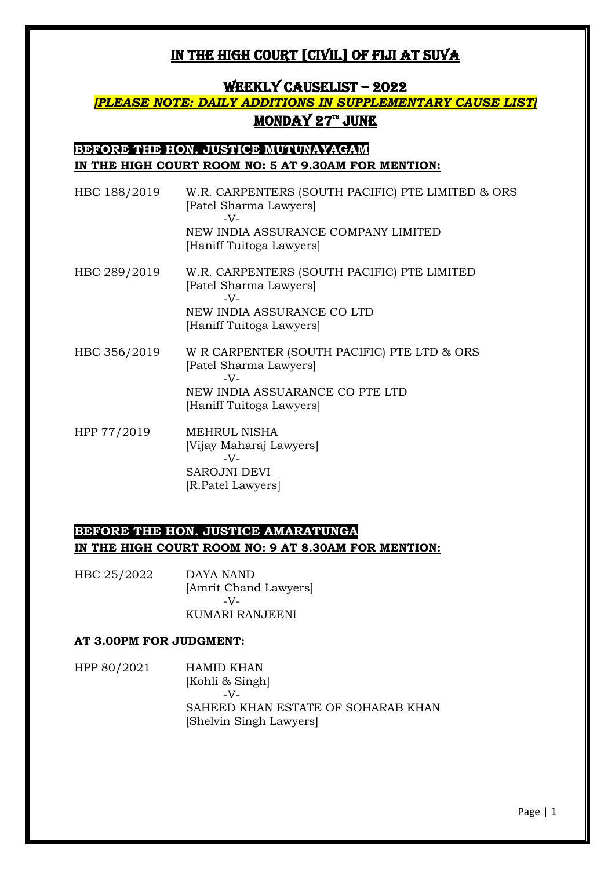### WEEKLY CAUSELIST – 2022

## *[PLEASE NOTE: DAILY ADDITIONS IN SUPPLEMENTARY CAUSE LIST]* <u>MONDAY 27™ JUNE</u>

### **BEFORE THE HON. JUSTICE MUTUNAYAGAM IN THE HIGH COURT ROOM NO: 5 AT 9.30AM FOR MENTION:**

| HBC 188/2019 | W.R. CARPENTERS (SOUTH PACIFIC) PTE LIMITED & ORS<br>[Patel Sharma Lawyers]<br>$-V-$<br>NEW INDIA ASSURANCE COMPANY LIMITED<br>[Haniff Tuitoga Lawyers] |
|--------------|---------------------------------------------------------------------------------------------------------------------------------------------------------|
| HBC 289/2019 | W.R. CARPENTERS (SOUTH PACIFIC) PTE LIMITED<br>[Patel Sharma Lawyers]<br>$-V-$                                                                          |
|              | NEW INDIA ASSURANCE CO LTD<br>[Haniff Tuitoga Lawyers]                                                                                                  |
| HBC 356/2019 | W R CARPENTER (SOUTH PACIFIC) PTE LTD & ORS<br>[Patel Sharma Lawyers]<br>$-V$ -<br>NEW INDIA ASSUARANCE CO PTE LTD<br>[Haniff Tuitoga Lawyers]          |
| HPP 77/2019  | MEHRUL NISHA<br>[Vijay Maharaj Lawyers]                                                                                                                 |

-V-SAROJNI DEVI [R.Patel Lawyers]

### **BEFORE THE HON. JUSTICE AMARATUNGA IN THE HIGH COURT ROOM NO: 9 AT 8.30AM FOR MENTION:**

HBC 25/2022 DAYA NAND [Amrit Chand Lawyers]  $-V$ -KUMARI RANJEENI

#### **AT 3.00PM FOR JUDGMENT:**

HPP 80/2021 HAMID KHAN [Kohli & Singh]  $-V<sub>-</sub>$ SAHEED KHAN ESTATE OF SOHARAB KHAN [Shelvin Singh Lawyers]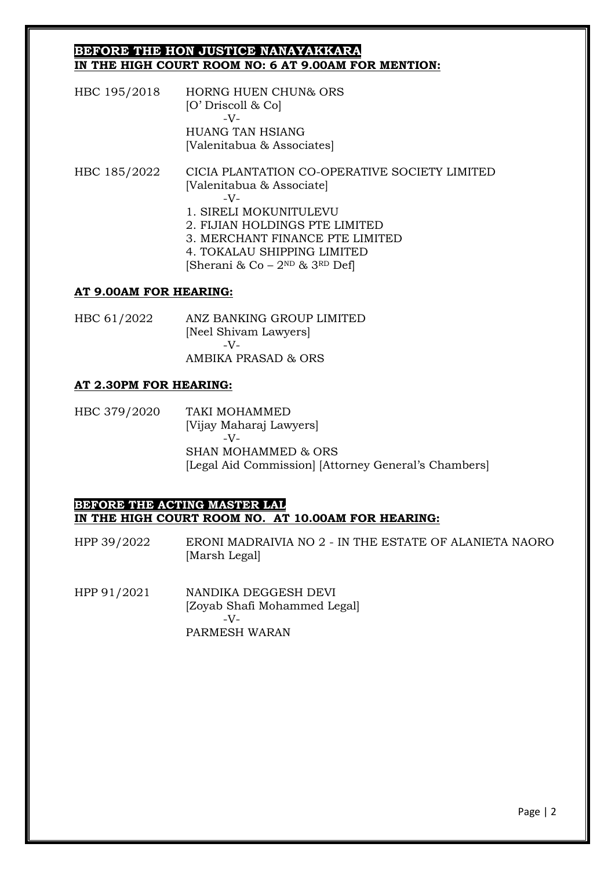#### **BEFORE THE HON JUSTICE NANAYAKKARA IN THE HIGH COURT ROOM NO: 6 AT 9.00AM FOR MENTION:**

HBC 195/2018 HORNG HUEN CHUN& ORS [O' Driscoll & Co] -V-HUANG TAN HSIANG [Valenitabua & Associates]

HBC 185/2022 CICIA PLANTATION CO-OPERATIVE SOCIETY LIMITED [Valenitabua & Associate] -V-1. SIRELI MOKUNITULEVU 2. FIJIAN HOLDINGS PTE LIMITED 3. MERCHANT FINANCE PTE LIMITED 4. TOKALAU SHIPPING LIMITED [Sherani & Co –  $2^{ND}$  &  $3^{RD}$  Def]

#### **AT 9.00AM FOR HEARING:**

HBC 61/2022 ANZ BANKING GROUP LIMITED [Neel Shivam Lawyers] -V-AMBIKA PRASAD & ORS

#### **AT 2.30PM FOR HEARING:**

HBC 379/2020 TAKI MOHAMMED [Vijay Maharaj Lawyers] -V-SHAN MOHAMMED & ORS [Legal Aid Commission] [Attorney General's Chambers]

#### **BEFORE THE ACTING MASTER LAL IN THE HIGH COURT ROOM NO. AT 10.00AM FOR HEARING:**

HPP 39/2022 ERONI MADRAIVIA NO 2 - IN THE ESTATE OF ALANIETA NAORO [Marsh Legal]

HPP 91/2021 NANDIKA DEGGESH DEVI [Zoyab Shafi Mohammed Legal]  $-V<sub>-</sub>$ PARMESH WARAN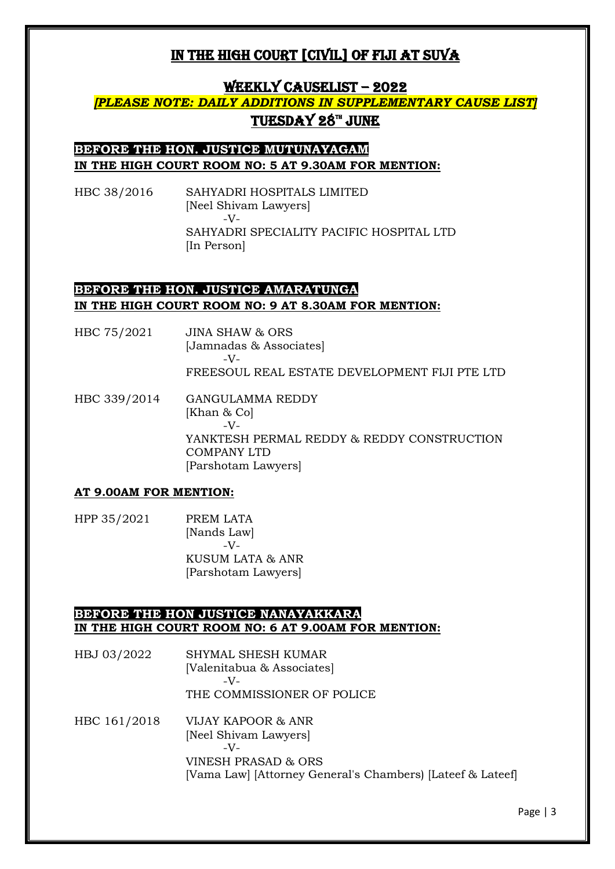### WEEKLY CAUSELIST – 2022

## *[PLEASE NOTE: DAILY ADDITIONS IN SUPPLEMENTARY CAUSE LIST]* <u>TUESDAY 28™ JUNE</u>

## **BEFORE THE HON. JUSTICE MUTUNAYAGAM IN THE HIGH COURT ROOM NO: 5 AT 9.30AM FOR MENTION:**

HBC 38/2016 SAHYADRI HOSPITALS LIMITED [Neel Shivam Lawyers] -V-SAHYADRI SPECIALITY PACIFIC HOSPITAL LTD [In Person]

## **BEFORE THE HON. JUSTICE AMARATUNGA IN THE HIGH COURT ROOM NO: 9 AT 8.30AM FOR MENTION:**

- HBC 75/2021 JINA SHAW & ORS [Jamnadas & Associates] -V-FREESOUL REAL ESTATE DEVELOPMENT FIJI PTE LTD
- HBC 339/2014 GANGULAMMA REDDY [Khan & Co] -V-YANKTESH PERMAL REDDY & REDDY CONSTRUCTION COMPANY LTD [Parshotam Lawyers]

#### **AT 9.00AM FOR MENTION:**

HPP 35/2021 PREM LATA [Nands Law]  $-V$ -KUSUM LATA & ANR [Parshotam Lawyers]

#### **BEFORE THE HON JUSTICE NANAYAKKARA IN THE HIGH COURT ROOM NO: 6 AT 9.00AM FOR MENTION:**

- HBJ 03/2022 SHYMAL SHESH KUMAR [Valenitabua & Associates] -V-THE COMMISSIONER OF POLICE
- HBC 161/2018 VIJAY KAPOOR & ANR [Neel Shivam Lawyers] -V-VINESH PRASAD & ORS [Vama Law] [Attorney General's Chambers) [Lateef & Lateef]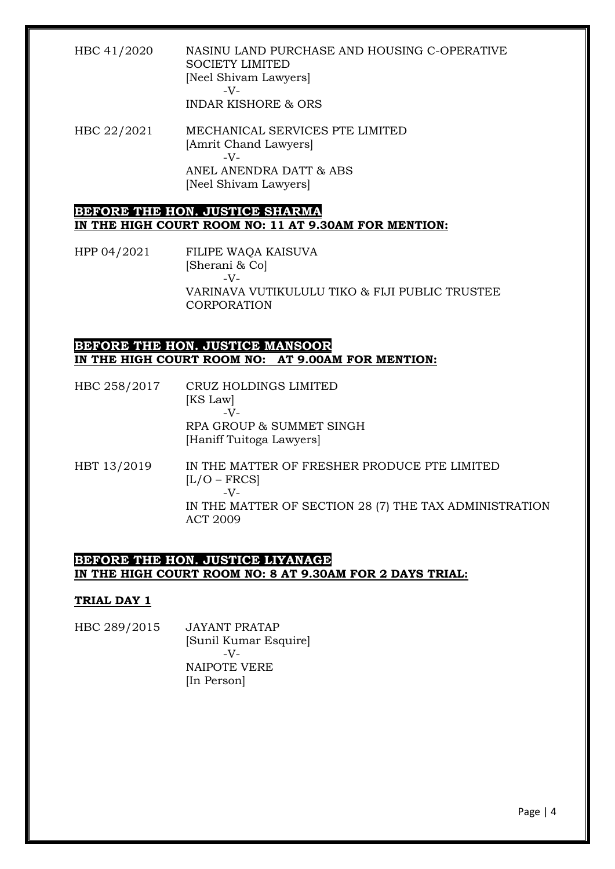### HBC 41/2020 NASINU LAND PURCHASE AND HOUSING C-OPERATIVE SOCIETY LIMITED [Neel Shivam Lawyers] -V-

INDAR KISHORE & ORS

HBC 22/2021 MECHANICAL SERVICES PTE LIMITED [Amrit Chand Lawyers]  $-V$ -ANEL ANENDRA DATT & ABS [Neel Shivam Lawyers]

### **BEFORE THE HON. JUSTICE SHARMA IN THE HIGH COURT ROOM NO: 11 AT 9.30AM FOR MENTION:**

HPP 04/2021 FILIPE WAQA KAISUVA [Sherani & Co] -V-VARINAVA VUTIKULULU TIKO & FIJI PUBLIC TRUSTEE CORPORATION

### **BEFORE THE HON. JUSTICE MANSOOR IN THE HIGH COURT ROOM NO: AT 9.00AM FOR MENTION:**

- HBC 258/2017 CRUZ HOLDINGS LIMITED [KS Law]  $-V$ -RPA GROUP & SUMMET SINGH [Haniff Tuitoga Lawyers]
- HBT 13/2019 IN THE MATTER OF FRESHER PRODUCE PTE LIMITED  $[L/O - FRCS]$ -V-IN THE MATTER OF SECTION 28 (7) THE TAX ADMINISTRATION ACT 2009

### **BEFORE THE HON. JUSTICE LIYANAGE IN THE HIGH COURT ROOM NO: 8 AT 9.30AM FOR 2 DAYS TRIAL:**

#### **TRIAL DAY 1**

HBC 289/2015 JAYANT PRATAP [Sunil Kumar Esquire]  $-V$ -NAIPOTE VERE [In Person]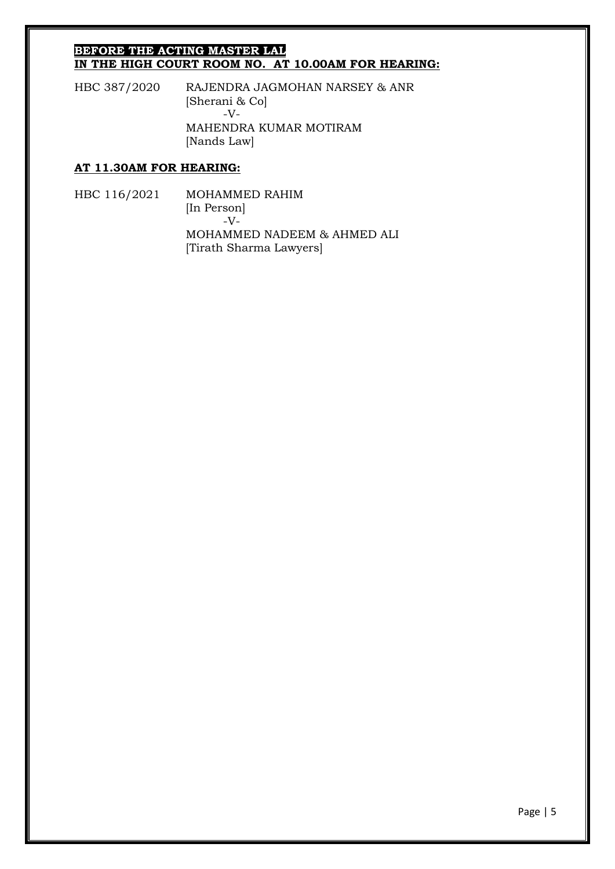#### **BEFORE THE ACTING MASTER LAL IN THE HIGH COURT ROOM NO. AT 10.00AM FOR HEARING:**

HBC 387/2020 RAJENDRA JAGMOHAN NARSEY & ANR [Sherani & Co] -V-MAHENDRA KUMAR MOTIRAM [Nands Law]

#### **AT 11.30AM FOR HEARING:**

HBC 116/2021 MOHAMMED RAHIM [In Person] -V-MOHAMMED NADEEM & AHMED ALI [Tirath Sharma Lawyers]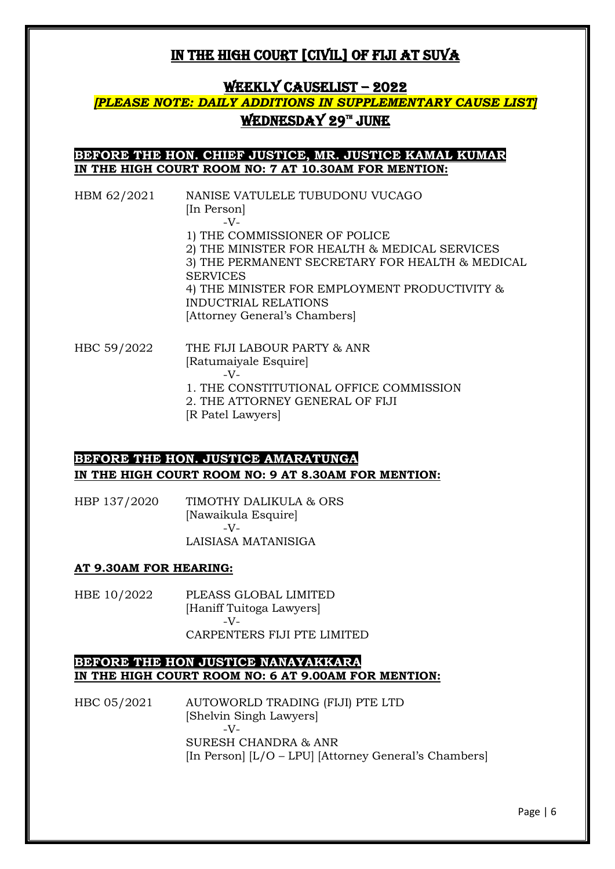### WEEKLY CAUSELIST – 2022

## *[PLEASE NOTE: DAILY ADDITIONS IN SUPPLEMENTARY CAUSE LIST]* <u>WEDNESDAY 29™ JUNE</u>

### **BEFORE THE HON. CHIEF JUSTICE, MR. JUSTICE KAMAL KUMAR IN THE HIGH COURT ROOM NO: 7 AT 10.30AM FOR MENTION:**

| HBM 62/2021 | NANISE VATULELE TUBUDONU VUCAGO                                                                                                                                                                                                                                       |
|-------------|-----------------------------------------------------------------------------------------------------------------------------------------------------------------------------------------------------------------------------------------------------------------------|
|             | [In Person]<br>$-V-$                                                                                                                                                                                                                                                  |
|             | 1) THE COMMISSIONER OF POLICE<br>2) THE MINISTER FOR HEALTH & MEDICAL SERVICES<br>3) THE PERMANENT SECRETARY FOR HEALTH & MEDICAL<br><b>SERVICES</b><br>4) THE MINISTER FOR EMPLOYMENT PRODUCTIVITY &<br><b>INDUCTRIAL RELATIONS</b><br>[Attorney General's Chambers] |
| HBC 59/2022 | THE FIJI LABOUR PARTY & ANR<br>[Ratumaiyale Esquire]<br>$-V-$<br>1. THE CONSTITUTIONAL OFFICE COMMISSION<br>2. THE ATTORNEY GENERAL OF FIJI<br>[R Patel Lawyers]                                                                                                      |

### **BEFORE THE HON. JUSTICE AMARATUNGA IN THE HIGH COURT ROOM NO: 9 AT 8.30AM FOR MENTION:**

| HBP 137/2020 | TIMOTHY DALIKULA & ORS |
|--------------|------------------------|
|              | [Nawaikula Esquire]    |
|              | $-V-$                  |
|              | LAISIASA MATANISIGA    |

#### **AT 9.30AM FOR HEARING:**

HBE 10/2022 PLEASS GLOBAL LIMITED [Haniff Tuitoga Lawyers] -V-CARPENTERS FIJI PTE LIMITED

### **BEFORE THE HON JUSTICE NANAYAKKARA IN THE HIGH COURT ROOM NO: 6 AT 9.00AM FOR MENTION:**

HBC 05/2021 AUTOWORLD TRADING (FIJI) PTE LTD [Shelvin Singh Lawyers] -V-SURESH CHANDRA & ANR [In Person] [L/O – LPU] [Attorney General's Chambers]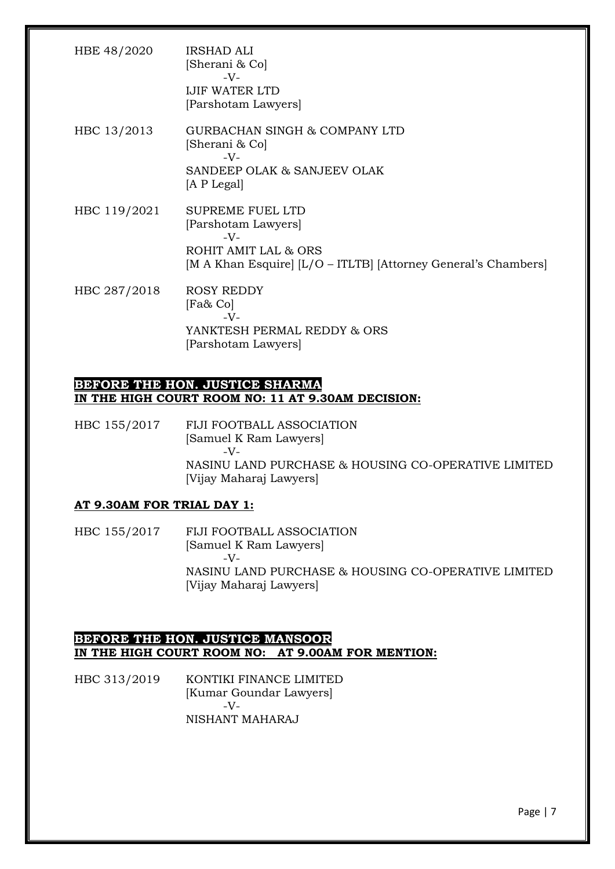| HBE 48/2020  | <b>IRSHAD ALI</b><br>[Sherani & Co]<br>$-V-$<br><b>IJIF WATER LTD</b><br>[Parshotam Lawyers]                                                      |
|--------------|---------------------------------------------------------------------------------------------------------------------------------------------------|
| HBC 13/2013  | GURBACHAN SINGH & COMPANY LTD<br>[Sherani & Co]<br>$-V$ -<br>SANDEEP OLAK & SANJEEV OLAK<br>[A P Legal]                                           |
| HBC 119/2021 | <b>SUPREME FUEL LTD</b><br>[Parshotam Lawyers]<br>$-V-$<br>ROHIT AMIT LAL & ORS<br>[M A Khan Esquire] [L/O - ITLTB] [Attorney General's Chambers] |
| HBC 287/2018 | <b>ROSY REDDY</b><br>[Fa& Co]<br>$-V$ -<br>YANKTESH PERMAL REDDY & ORS<br>[Parshotam Lawyers]                                                     |

### **BEFORE THE HON. JUSTICE SHARMA IN THE HIGH COURT ROOM NO: 11 AT 9.30AM DECISION:**

HBC 155/2017 FIJI FOOTBALL ASSOCIATION [Samuel K Ram Lawyers]  $-V$ -NASINU LAND PURCHASE & HOUSING CO-OPERATIVE LIMITED [Vijay Maharaj Lawyers]

### **AT 9.30AM FOR TRIAL DAY 1:**

HBC 155/2017 FIJI FOOTBALL ASSOCIATION [Samuel K Ram Lawyers] -V-NASINU LAND PURCHASE & HOUSING CO-OPERATIVE LIMITED [Vijay Maharaj Lawyers]

### **BEFORE THE HON. JUSTICE MANSOOR IN THE HIGH COURT ROOM NO: AT 9.00AM FOR MENTION:**

HBC 313/2019 KONTIKI FINANCE LIMITED [Kumar Goundar Lawyers] -V-NISHANT MAHARAJ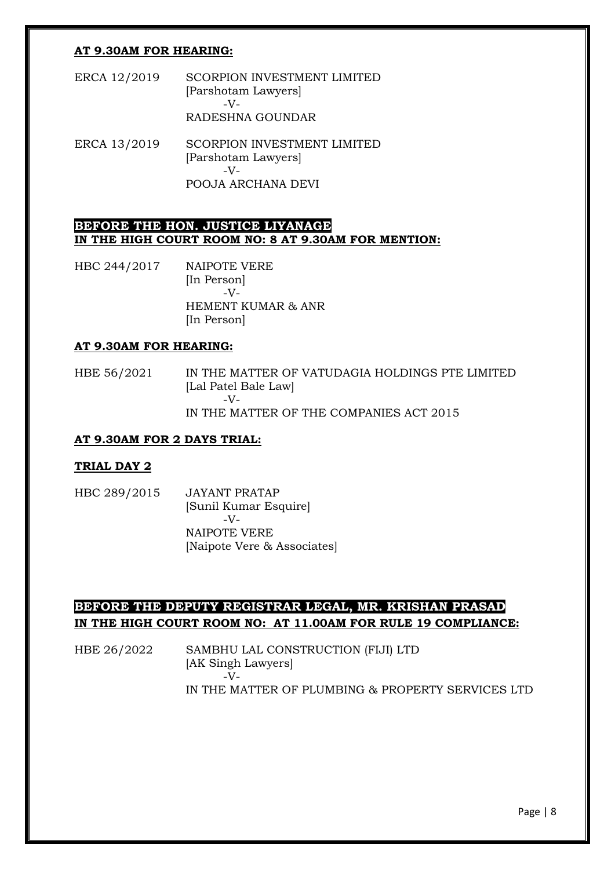#### **AT 9.30AM FOR HEARING:**

- ERCA 12/2019 SCORPION INVESTMENT LIMITED [Parshotam Lawyers] -V-RADESHNA GOUNDAR
- ERCA 13/2019 SCORPION INVESTMENT LIMITED [Parshotam Lawyers] -V-POOJA ARCHANA DEVI

#### **BEFORE THE HON. JUSTICE LIYANAGE IN THE HIGH COURT ROOM NO: 8 AT 9.30AM FOR MENTION:**

HBC 244/2017 NAIPOTE VERE [In Person] -V-HEMENT KUMAR & ANR [In Person]

#### **AT 9.30AM FOR HEARING:**

HBE 56/2021 IN THE MATTER OF VATUDAGIA HOLDINGS PTE LIMITED [Lal Patel Bale Law] -V-IN THE MATTER OF THE COMPANIES ACT 2015

#### **AT 9.30AM FOR 2 DAYS TRIAL:**

#### **TRIAL DAY 2**

HBC 289/2015 JAYANT PRATAP [Sunil Kumar Esquire] -V-NAIPOTE VERE [Naipote Vere & Associates]

### **BEFORE THE DEPUTY REGISTRAR LEGAL, MR. KRISHAN PRASAD IN THE HIGH COURT ROOM NO: AT 11.00AM FOR RULE 19 COMPLIANCE:**

HBE 26/2022 SAMBHU LAL CONSTRUCTION (FIJI) LTD [AK Singh Lawyers]  $-\bar{V}$ IN THE MATTER OF PLUMBING & PROPERTY SERVICES LTD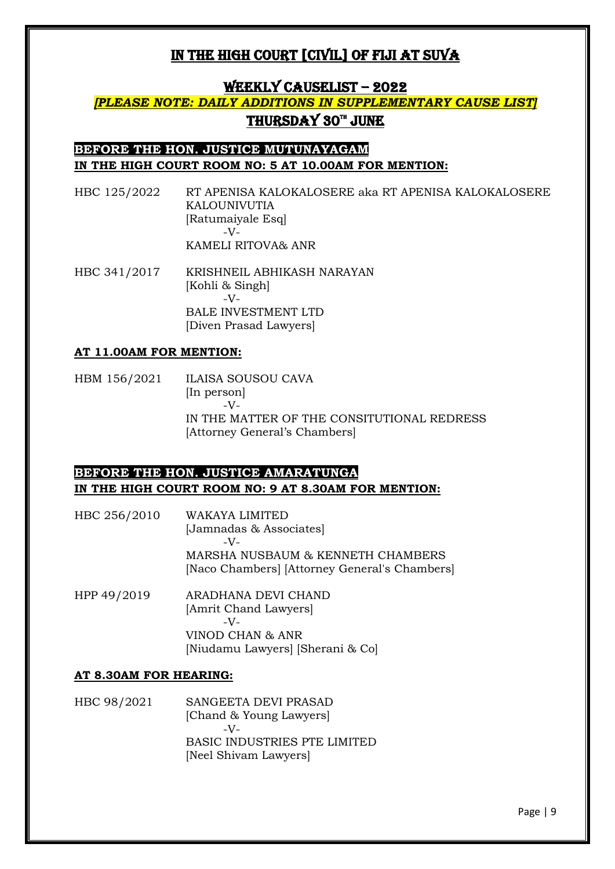### WEEKLY CAUSELIST – 2022

## *[PLEASE NOTE: DAILY ADDITIONS IN SUPPLEMENTARY CAUSE LIST]* <u>THURSDAY 30™ JUNE</u>

### **BEFORE THE HON. JUSTICE MUTUNAYAGAM IN THE HIGH COURT ROOM NO: 5 AT 10.00AM FOR MENTION:**

- HBC 125/2022 RT APENISA KALOKALOSERE aka RT APENISA KALOKALOSERE KALOUNIVUTIA [Ratumaiyale Esq]  $-V<sub>-</sub>$ KAMELI RITOVA& ANR
- HBC 341/2017 KRISHNEIL ABHIKASH NARAYAN [Kohli & Singh] -V-BALE INVESTMENT LTD [Diven Prasad Lawyers]

#### **AT 11.00AM FOR MENTION:**

HBM 156/2021 ILAISA SOUSOU CAVA [In person] -V-IN THE MATTER OF THE CONSITUTIONAL REDRESS [Attorney General's Chambers]

### **BEFORE THE HON. JUSTICE AMARATUNGA IN THE HIGH COURT ROOM NO: 9 AT 8.30AM FOR MENTION:**

- HBC 256/2010 WAKAYA LIMITED [Jamnadas & Associates] -V-MARSHA NUSBAUM & KENNETH CHAMBERS [Naco Chambers] [Attorney General's Chambers]
- HPP 49/2019 ARADHANA DEVI CHAND [Amrit Chand Lawyers]  $-V$ -VINOD CHAN & ANR [Niudamu Lawyers] [Sherani & Co]

### **AT 8.30AM FOR HEARING:**

HBC 98/2021 SANGEETA DEVI PRASAD [Chand & Young Lawyers] -V-BASIC INDUSTRIES PTE LIMITED [Neel Shivam Lawyers]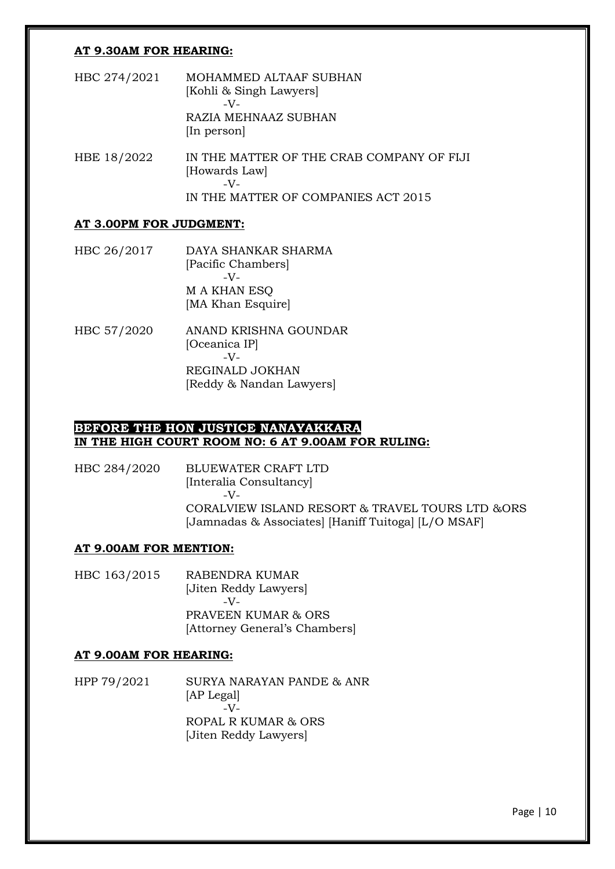#### **AT 9.30AM FOR HEARING:**

- HBC 274/2021 MOHAMMED ALTAAF SUBHAN [Kohli & Singh Lawyers] -V-RAZIA MEHNAAZ SUBHAN [In person]
- HBE 18/2022 IN THE MATTER OF THE CRAB COMPANY OF FIJI [Howards Law]  $-V$ -IN THE MATTER OF COMPANIES ACT 2015

#### **AT 3.00PM FOR JUDGMENT:**

- HBC 26/2017 DAYA SHANKAR SHARMA [Pacific Chambers]  $-V<sub>-</sub>$ M A KHAN ESQ [MA Khan Esquire]
- HBC 57/2020 ANAND KRISHNA GOUNDAR [Oceanica IP] -V-REGINALD JOKHAN [Reddy & Nandan Lawyers]

### **BEFORE THE HON JUSTICE NANAYAKKARA IN THE HIGH COURT ROOM NO: 6 AT 9.00AM FOR RULING:**

HBC 284/2020 BLUEWATER CRAFT LTD [Interalia Consultancy] -V-CORALVIEW ISLAND RESORT & TRAVEL TOURS LTD &ORS [Jamnadas & Associates] [Haniff Tuitoga] [L/O MSAF]

#### **AT 9.00AM FOR MENTION:**

HBC 163/2015 RABENDRA KUMAR [Jiten Reddy Lawyers] -V-PRAVEEN KUMAR & ORS [Attorney General's Chambers]

#### **AT 9.00AM FOR HEARING:**

HPP 79/2021 SURYA NARAYAN PANDE & ANR [AP Legal]  $\overline{\phantom{a}}$   $\overline{\phantom{a}}$ ROPAL R KUMAR & ORS [Jiten Reddy Lawyers]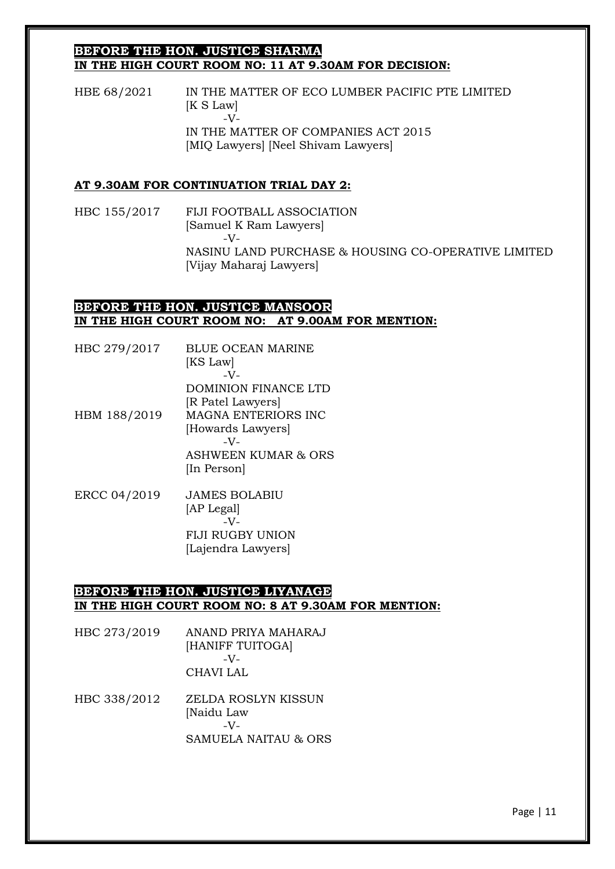#### **BEFORE THE HON. JUSTICE SHARMA IN THE HIGH COURT ROOM NO: 11 AT 9.30AM FOR DECISION:**

HBE 68/2021 IN THE MATTER OF ECO LUMBER PACIFIC PTE LIMITED [K S Law] -V-IN THE MATTER OF COMPANIES ACT 2015 [MIQ Lawyers] [Neel Shivam Lawyers]

#### **AT 9.30AM FOR CONTINUATION TRIAL DAY 2:**

HBC 155/2017 FIJI FOOTBALL ASSOCIATION [Samuel K Ram Lawyers]  $-V$ -NASINU LAND PURCHASE & HOUSING CO-OPERATIVE LIMITED [Vijay Maharaj Lawyers]

#### **BEFORE THE HON. JUSTICE MANSOOR IN THE HIGH COURT ROOM NO: AT 9.00AM FOR MENTION:**

| HBC 279/2017 | BLUE OCEAN MARINE<br>[KS Law]  |
|--------------|--------------------------------|
|              | $-V$ -<br>DOMINION FINANCE LTD |
|              | [R Patel Lawyers]              |
| HBM 188/2019 | <b>MAGNA ENTERIORS INC</b>     |
|              | [Howards Lawyers]              |
|              | $-V$ -                         |
|              | <b>ASHWEEN KUMAR &amp; ORS</b> |
|              | [In Person]                    |
|              |                                |

ERCC 04/2019 JAMES BOLABIU [AP Legal] -V-FIJI RUGBY UNION [Lajendra Lawyers]

### **BEFORE THE HON. JUSTICE LIYANAGE IN THE HIGH COURT ROOM NO: 8 AT 9.30AM FOR MENTION:**

| HBC 273/2019 | ANAND PRIYA MAHARAJ |
|--------------|---------------------|
|              | [HANIFF TUITOGA]    |
|              | $-V-$               |
|              | CHAVI LAL           |

HBC 338/2012 ZELDA ROSLYN KISSUN [Naidu Law -V-SAMUELA NAITAU & ORS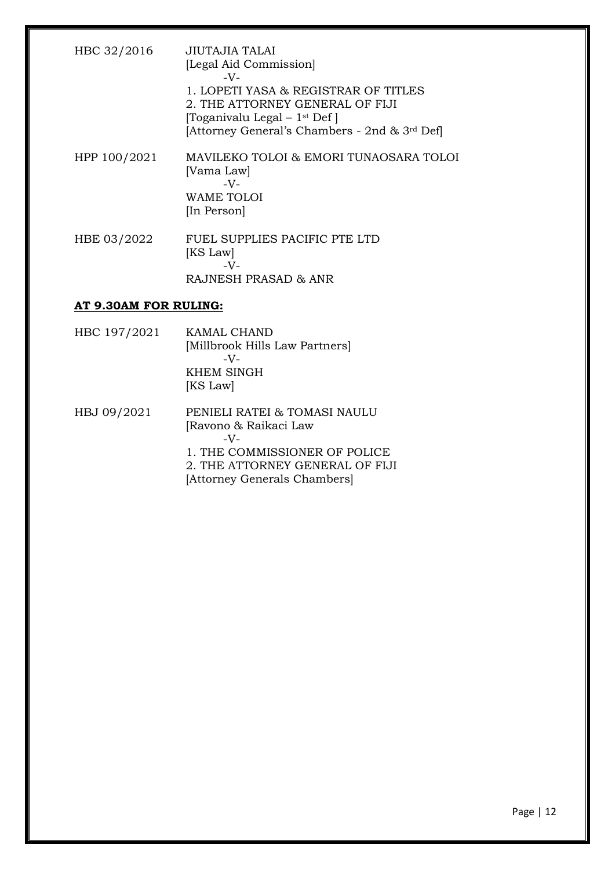| HBC 32/2016  | JIUTAJIA TALAI<br>[Legal Aid Commission]<br>$-V-$<br>1. LOPETI YASA & REGISTRAR OF TITLES<br>2. THE ATTORNEY GENERAL OF FIJI<br>[Toganivalu Legal $-1$ <sup>st</sup> Def]<br>[Attorney General's Chambers - 2nd & 3 <sup>rd</sup> Def] |
|--------------|----------------------------------------------------------------------------------------------------------------------------------------------------------------------------------------------------------------------------------------|
| HPP 100/2021 | MAVILEKO TOLOI & EMORI TUNAOSARA TOLOI<br>[Vama Law]<br>$-V-$<br>WAME TOLOI<br>[In Person]                                                                                                                                             |
| HBE 03/2022  | FUEL SUPPLIES PACIFIC PTE LTD<br>[KS Law]<br>$-V$ -<br>RAJNESH PRASAD & ANR                                                                                                                                                            |

### **AT 9.30AM FOR RULING:**

| HBC 197/2021 | KAMAL CHAND                    |
|--------------|--------------------------------|
|              | [Millbrook Hills Law Partners] |
|              | $-V$ -                         |
|              | <b>KHEM SINGH</b>              |
|              | [KS Law]                       |
| HBJ 09/2021  | PENIELI RATEI & TOMASI NAULU   |
|              | [Ravono & Raikaci Law          |
|              | $-V$ -                         |
|              | 1. THE COMMISSIONER OF POLICE  |

2. THE ATTORNEY GENERAL OF FIJI

[Attorney Generals Chambers]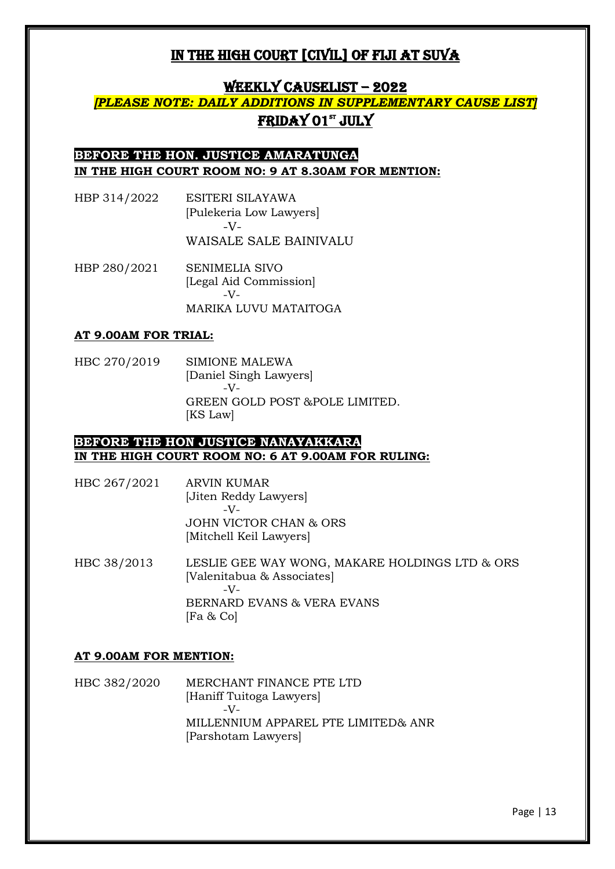## WEEKLY CAUSELIST - 2022

## *[PLEASE NOTE: DAILY ADDITIONS IN SUPPLEMENTARY CAUSE LIST]* <u>FRIDAY 01st JULY</u>

## **BEFORE THE HON. JUSTICE AMARATUNGA IN THE HIGH COURT ROOM NO: 9 AT 8.30AM FOR MENTION:**

- HBP 314/2022 ESITERI SILAYAWA [Pulekeria Low Lawyers] -V-WAISALE SALE BAINIVALU
- HBP 280/2021 SENIMELIA SIVO [Legal Aid Commission]  $-V$ MARIKA LUVU MATAITOGA

#### **AT 9.00AM FOR TRIAL:**

HBC 270/2019 SIMIONE MALEWA [Daniel Singh Lawyers]  $-V$ -GREEN GOLD POST &POLE LIMITED. [KS Law]

### **BEFORE THE HON JUSTICE NANAYAKKARA IN THE HIGH COURT ROOM NO: 6 AT 9.00AM FOR RULING:**

- HBC 267/2021 ARVIN KUMAR [Jiten Reddy Lawyers]  $-V$ JOHN VICTOR CHAN & ORS [Mitchell Keil Lawyers]
- HBC 38/2013 LESLIE GEE WAY WONG, MAKARE HOLDINGS LTD & ORS [Valenitabua & Associates]  $-V$ -BERNARD EVANS & VERA EVANS [Fa & Co]

#### **AT 9.00AM FOR MENTION:**

HBC 382/2020 MERCHANT FINANCE PTE LTD [Haniff Tuitoga Lawyers]  $-V$ -MILLENNIUM APPAREL PTE LIMITED& ANR [Parshotam Lawyers]